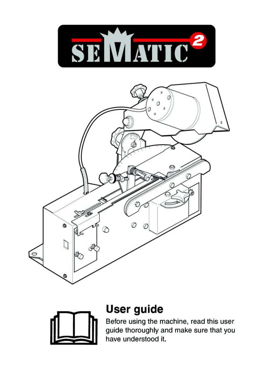



# **User guide**

Before using the machine, read this user guide thoroughly and make sure that you have understood it.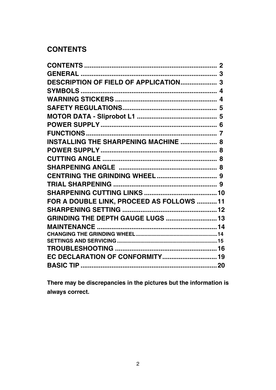## **CONTENTS**

| <b>DESCRIPTION OF FIELD OF APPLICATION 3</b> |  |
|----------------------------------------------|--|
|                                              |  |
|                                              |  |
|                                              |  |
|                                              |  |
|                                              |  |
|                                              |  |
| <b>INSTALLING THE SHARPENING MACHINE  8</b>  |  |
|                                              |  |
|                                              |  |
|                                              |  |
|                                              |  |
|                                              |  |
|                                              |  |
| FOR A DOUBLE LINK, PROCEED AS FOLLOWS  11    |  |
|                                              |  |
| <b>GRINDING THE DEPTH GAUGE LUGS  13</b>     |  |
|                                              |  |
|                                              |  |
|                                              |  |
| EC DECLARATION OF CONFORMITY 19              |  |
|                                              |  |
|                                              |  |

There may be discrepancies in the pictures but the information is always correct.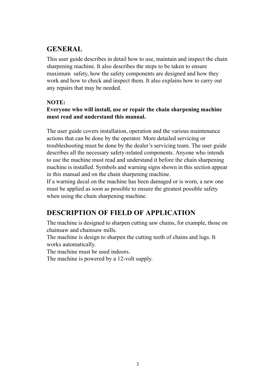## **GENERAL**

This user guide describes in detail how to use, maintain and inspect the chain sharpening machine. It also describes the steps to be taken to ensure maximum safety, how the safety components are designed and how they work and how to check and inspect them. It also explains how to carry out any repairs that may be needed.

#### **NOTE:**

### **Everyone who will install, use or repair the chain sharpening machine must read and understand this manual.**

The user guide covers installation, operation and the various maintenance actions that can be done by the operator. More detailed servicing or troubleshooting must be done by the dealer's servicing team. The user guide describes all the necessary safety-related components. Anyone who intends to use the machine must read and understand it before the chain sharpening machine is installed. Symbols and warning signs shown in this section appear in this manual and on the chain sharpening machine.

If a warning decal on the machine has been damaged or is worn, a new one must be applied as soon as possible to ensure the greatest possible safety when using the chain sharpening machine.

## **DESCRIPTION OF FIELD OF APPLICATION**

The machine is designed to sharpen cutting saw chains, for example, those on chainsaw and chainsaw mills.

The machine is design to sharpen the cutting teeth of chains and lugs. It works automatically.

The machine must be used indoors.

The machine is powered by a 12-volt supply.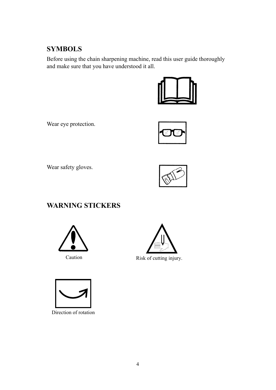### **SYMBOLS**

Before using the chain sharpening machine, read this user guide thoroughly and make sure that you have understood it all.



Wear eye protection.



Wear safety gloves.



## **WARNING STICKERS**





Direction of rotation

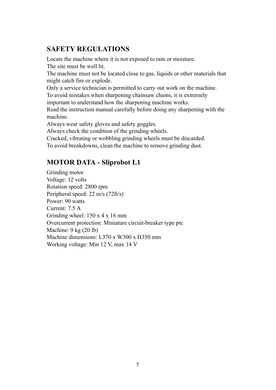## **SAFETY REGULATIONS**

Locate the machine where it is not exposed to rain or moisture. The site must be well lit.

The machine must not be located close to gas, liquids or other materials that might catch fire or explode.

Only a service technician is permitted to carry out work on the machine. To avoid mistakes when sharpening chainsaw chains, it is extremely

important to understand how the sharpening machine works.

Read the instruction manual carefully before doing any sharpening with the machine.

Always wear safety gloves and safety goggles.

Always check the condition of the grinding wheels.

Cracked, vibrating or wobbling grinding wheels must be discarded.

To avoid breakdowns, clean the machine to remove grinding dust.

## **MOTOR DATA - Sliprobot L1**

Grinding motor Voltage: 12 volts Rotation speed: 2800 rpm Peripheral speed: 22 m/s (72ft/s) Power: 90 watts Current: 7.5 A Grinding wheel: 150 x 4 x 16 mm Overcurrent protection: Miniature circuit-breaker type ptc Machine: 9 kg (20 lb) Machine dimensions: L370 x W300 x H350 mm Working voltage: Min 12 V, max 14 V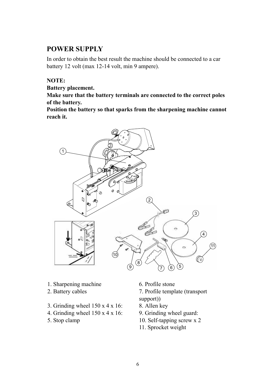## **POWER SUPPLY**

In order to obtain the best result the machine should be connected to a car battery 12 volt (max 12-14 volt, min 9 ampere).

### **NOTE:**

**Battery placement.**

**Make sure that the battery terminals are connected to the correct poles of the battery.** 

**Position the battery so that sparks from the sharpening machine cannot reach it.**



- 1. Sharpening machine 6. Profile stone
- 
- 3. Grinding wheel  $150 \times 4 \times 16$ :<br>
4. Grinding wheel  $150 \times 4 \times 16$ :<br>
9. Grinding wheel guard:
- 4. Grinding wheel  $150 \times 4 \times 16$ :
- 
- 
- 2. Battery cables 7. Profile template (transport support))
	-
	-
- 5. Stop clamp 10. Self-tapping screw x 2
	- 11. Sprocket weight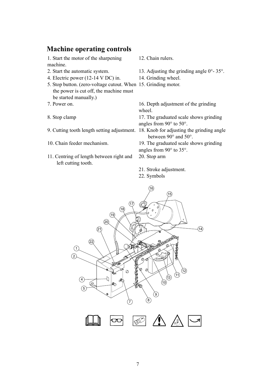### **Machine operating controls**

1. Start the motor of the sharpening machine.

- 
- 4. Electric power (12-14 V DC) in. 14. Grinding wheel.
- 5. Stop button. (zero-voltage cutout. When 15. Grinding motor. the power is cut off, the machine must be started manually.)
- 
- 
- 9. Cutting tooth length setting adjustment. 18. Knob for adjusting the grinding angle
- 
- 11. Centring of length between right and left cutting tooth.

12. Chain rulers.

- 2. Start the automatic system. 13. Adjusting the grinding angle  $0^{\circ}$  35°.
	-
	-

7. Power on. 16. Depth adjustment of the grinding wheel.

8. Stop clamp 17. The graduated scale shows grinding angles from 90° to 50°.

between 90° and 50°.

10. Chain feeder mechanism. 19. The graduated scale shows grinding angles from 90° to 35°.

- 20. Stop arm
- 21. Stroke adjustment.
- 22. Symbols

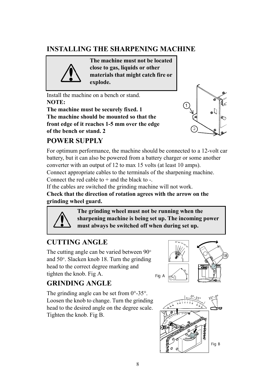## **INSTALLING THE SHARPENING MACHINE**



**The machine must not be located close to gas, liquids or other materials that might catch fire or explode.**

Install the machine on a bench or stand. **NOTE:**

**The machine must be securely fixed. 1 The machine should be mounted so that the front edge of it reaches 1-5 mm over the edge of the bench or stand. 2**



## **POWER SUPPLY**

For optimum performance, the machine should be connected to a 12-volt car battery, but it can also be powered from a battery charger or some another converter with an output of 12 to max 15 volts (at least 10 amps).

Connect appropriate cables to the terminals of the sharpening machine. Connect the red cable to  $+$  and the black to  $-$ .

If the cables are switched the grinding machine will not work.

**Check that the direction of rotation agrees with the arrow on the grinding wheel guard.**



**The grinding wheel must not be running when the sharpening machine is being set up. The incoming power must always be switched off when during set up.** 

## **CUTTING ANGLE**

The cutting angle can be varied between 90° and 50°. Slacken knob 18. Turn the grinding head to the correct degree marking and tighten the knob. Fig A.



## **GRINDING ANGLE**

The grinding angle can be set from  $0^{\circ}$ -35°. Loosen the knob to change. Turn the grinding head to the desired angle on the degree scale. Tighten the knob. Fig B.

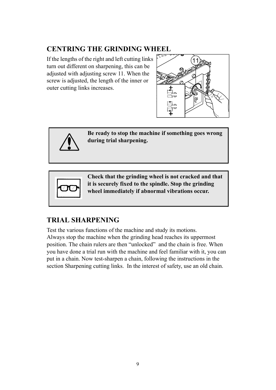## **CENTRING THE GRINDING WHEEL**

If the lengths of the right and left cutting links turn out different on sharpening, this can be adjusted with adjusting screw 11. When the screw is adjusted, the length of the inner or outer cutting links increases.





**Be ready to stop the machine if something goes wrong during trial sharpening.**



**Check that the grinding wheel is not cracked and that it is securely fixed to the spindle. Stop the grinding wheel immediately if abnormal vibrations occur.** 

## **TRIAL SHARPENING**

Test the various functions of the machine and study its motions. Always stop the machine when the grinding head reaches its uppermost position. The chain rulers are then "unlocked" and the chain is free. When you have done a trial run with the machine and feel familiar with it, you can put in a chain. Now test-sharpen a chain, following the instructions in the section Sharpening cutting links. In the interest of safety, use an old chain.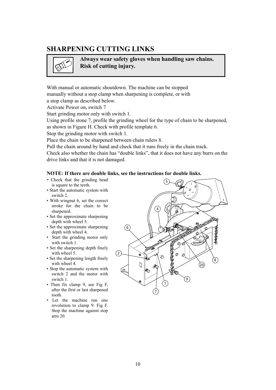#### **SHARPENING CUTTING LINKS**

**Always wear safety gloves when handling saw chains. Risk of cutting injury.**

With manual or automatic shoutdown. The machine can be stopped manually without a stop clamp when sharpening is complete, or with a stop clamp as described below.

Activate Power on, switch 7

Start grinding motor only with switch 1.

Using profile stone 7, profile the grinding wheel for the type of chain to be sharpened, as shown in Figure H. Check with profile template 6.

Stop the grinding motor with switch 1.

Place the chain to be sharpened between chain rulers 8.

Pull the chain around by hand and check that it runs freely in the chain track.

Check also whether the chain has "double links", that it does not have any burrs on the drive links and that it is not damaged.

#### **NOTE: If there are double links, see the instructions for double links.**

- Check that the grinding head is square to the teeth.
- Start the automatic system with switch 2.
- With wingnut 6, set the correct stroke for the chain to be sharpened.
- Set the approximate sharpening depth with wheel 5.
- Set the approximate sharpening depth with wheel 4.
- Start the grinding motor only with switch 1.
- Set the sharpening depth finely with wheel 5.
- Set the sharpening length finely with wheel 4.
- Stop the automatic system with switch 2 and the motor with switch 1.
- Then fix clamp 9, see Fig F, after the first or last sharpened tooth.
- Let the machine run one revolution to clamp 9. Fig F. Stop the machine against stop arm 20.

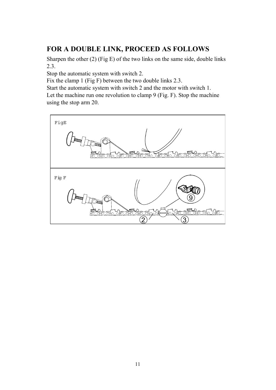## **FOR A DOUBLE LINK, PROCEED AS FOLLOWS**

Sharpen the other (2) (Fig E) of the two links on the same side, double links 2.3.

Stop the automatic system with switch 2.

Fix the clamp 1 (Fig F) between the two double links 2.3.

Start the automatic system with switch 2 and the motor with switch 1. Let the machine run one revolution to clamp 9 (Fig. F). Stop the machine using the stop arm 20.

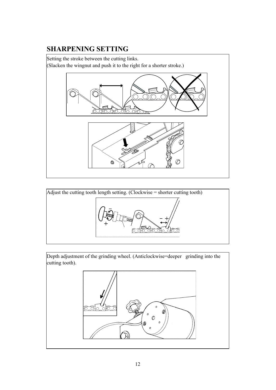## **SHARPENING SETTING**

Setting the stroke between the cutting links. (Slacken the wingnut and push it to the right for a shorter stroke.)





Depth adjustment of the grinding wheel. (Anticlockwise=deeper grinding into the cutting tooth).

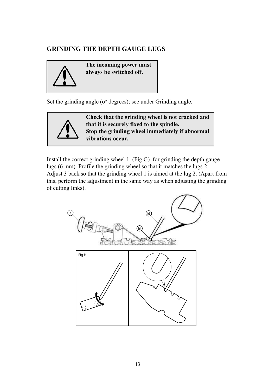### **GRINDING THE DEPTH GAUGE LUGS**



**The incoming power must always be switched off.**

Set the grinding angle (o° degrees); see under Grinding angle.



**Check that the grinding wheel is not cracked and that it is securely fixed to the spindle. Stop the grinding wheel immediately if abnormal vibrations occur.**

Install the correct grinding wheel 1 (Fig G) for grinding the depth gauge lugs (6 mm). Profile the grinding wheel so that it matches the lugs 2. Adjust 3 back so that the grinding wheel 1 is aimed at the lug 2. (Apart from this, perform the adjustment in the same way as when adjusting the grinding of cutting links).

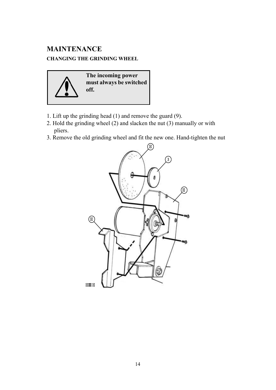## **MAINTENANCE CHANGING THE GRINDING WHEEL**



- 1. Lift up the grinding head (1) and remove the guard (9).
- 2. Hold the grinding wheel  $(2)$  and slacken the nut  $(3)$  manually or with pliers.
- 3. Remove the old grinding wheel and fit the new one. Hand-tighten the nut

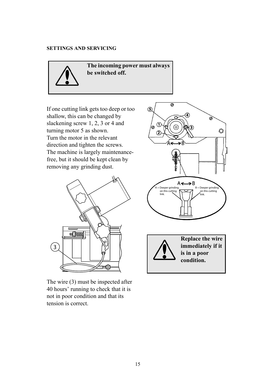#### **SETTINGS AND SERVICING**



If one cutting link gets too deep or too shallow, this can be changed by slackening screw 1, 2, 3 or 4 and turning motor 5 as shown. Turn the motor in the relevant direction and tighten the screws. The machine is largely maintenancefree, but it should be kept clean by removing any grinding dust.



The wire (3) must be inspected after 40 hours' running to check that it is not in poor condition and that its tension is correct.

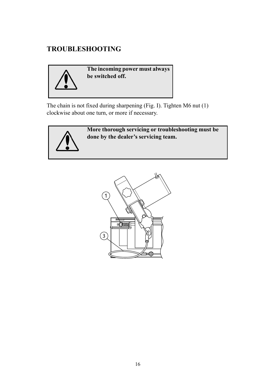## **TROUBLESHOOTING**



The chain is not fixed during sharpening (Fig. I). Tighten M6 nut (1) clockwise about one turn, or more if necessary.



**More thorough servicing or troubleshooting must be done by the dealer's servicing team.**

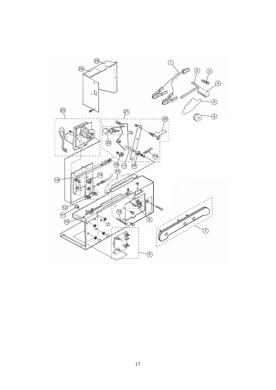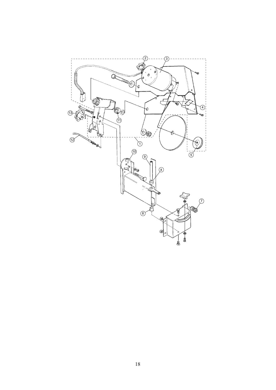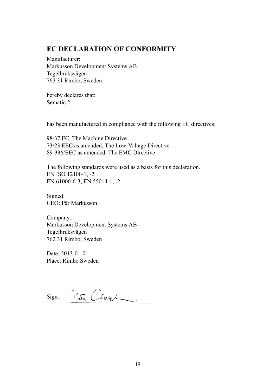### **EC DECLARATION OF CONFORMITY**

Manufacturer: Markusson Development Systems AB Tegelbruksvägen 762 31 Rimbo, Sweden

hereby declares that: Sematic 2

has been manufactured in compliance with the following EC directives:

98/37 EC, The Machine Directive 73/23 EEC as amended, The Low-Voltage Directive 89-336/EEC as amended, The EMC Directive

The following standards were used as a basis for this declaration. EN ISO 12100-1, -2 EN 61000-6-3, EN 55014-1, -2

Signed: CEO: Pär Markusson

Company: Markusson Development Systems AB Tegelbruksvägen 762 31 Rimbo, Sweden

Date: 2013-01-01 Place: Rimbo Sweden

Par Clark Sign: